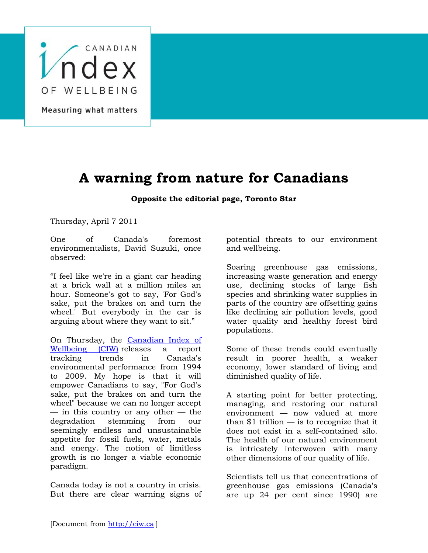

## **A warning from nature for Canadians**

## **Opposite the editorial page, Toronto Star**

Thursday, April 7 2011

One of Canada's foremost environmentalists, David Suzuki, once observed:

"I feel like we're in a giant car heading at a brick wall at a million miles an hour. Someone's got to say, 'For God's sake, put the brakes on and turn the wheel.' But everybody in the car is arguing about where they want to sit."

On Thursday, the [Canadian Index of](https://pilots.uwaterloo.ca/canadian-index-wellbeing/home)  [Wellbeing \(CIW\)](https://pilots.uwaterloo.ca/canadian-index-wellbeing/home) releases a report tracking trends in Canada's environmental performance from 1994 to 2009. My hope is that it will empower Canadians to say, "For God's sake, put the brakes on and turn the wheel" because we can no longer accept  $-$  in this country or any other  $-$  the degradation stemming from our seemingly endless and unsustainable appetite for fossil fuels, water, metals and energy. The notion of limitless growth is no longer a viable economic paradigm.

Canada today is not a country in crisis. But there are clear warning signs of potential threats to our environment and wellbeing.

Soaring greenhouse gas emissions, increasing waste generation and energy use, declining stocks of large fish species and shrinking water supplies in parts of the country are offsetting gains like declining air pollution levels, good water quality and healthy forest bird populations.

Some of these trends could eventually result in poorer health, a weaker economy, lower standard of living and diminished quality of life.

A starting point for better protecting, managing, and restoring our natural environment — now valued at more than  $$1$  trillion  $-$  is to recognize that it does not exist in a self-contained silo. The health of our natural environment is intricately interwoven with many other dimensions of our quality of life.

Scientists tell us that concentrations of greenhouse gas emissions (Canada's are up 24 per cent since 1990) are